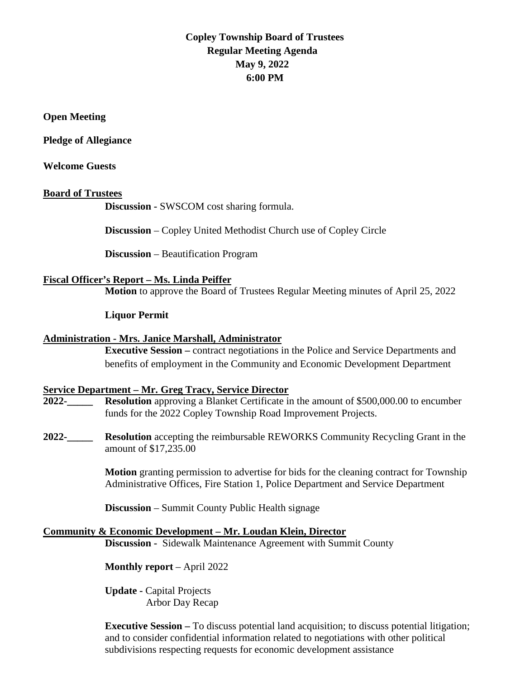# **Copley Township Board of Trustees Regular Meeting Agenda May 9, 2022 6:00 PM**

### **Open Meeting**

**Pledge of Allegiance** 

### **Welcome Guests**

### **Board of Trustees**

**Discussion -** SWSCOM cost sharing formula.

**Discussion** – Copley United Methodist Church use of Copley Circle

**Discussion** – Beautification Program

### **Fiscal Officer's Report – Ms. Linda Peiffer**

**Motion** to approve the Board of Trustees Regular Meeting minutes of April 25, 2022

### **Liquor Permit**

#### **Administration - Mrs. Janice Marshall, Administrator**

**Executive Session –** contract negotiations in the Police and Service Departments and benefits of employment in the Community and Economic Development Department

#### **Service Department – Mr. Greg Tracy, Service Director**

**2022-\_\_\_\_\_ Resolution** approving a Blanket Certificate in the amount of \$500,000.00 to encumber funds for the 2022 Copley Township Road Improvement Projects.

**2022-\_\_\_\_\_ Resolution** accepting the reimbursable REWORKS Community Recycling Grant in the amount of \$17,235.00

> **Motion** granting permission to advertise for bids for the cleaning contract for Township Administrative Offices, Fire Station 1, Police Department and Service Department

**Discussion** – Summit County Public Health signage

#### **Community & Economic Development – Mr. Loudan Klein, Director**

**Discussion -** Sidewalk Maintenance Agreement with Summit County

**Monthly report** – April 2022

**Update -** Capital Projects Arbor Day Recap

**Executive Session –** To discuss potential land acquisition; to discuss potential litigation; and to consider confidential information related to negotiations with other political subdivisions respecting requests for economic development assistance